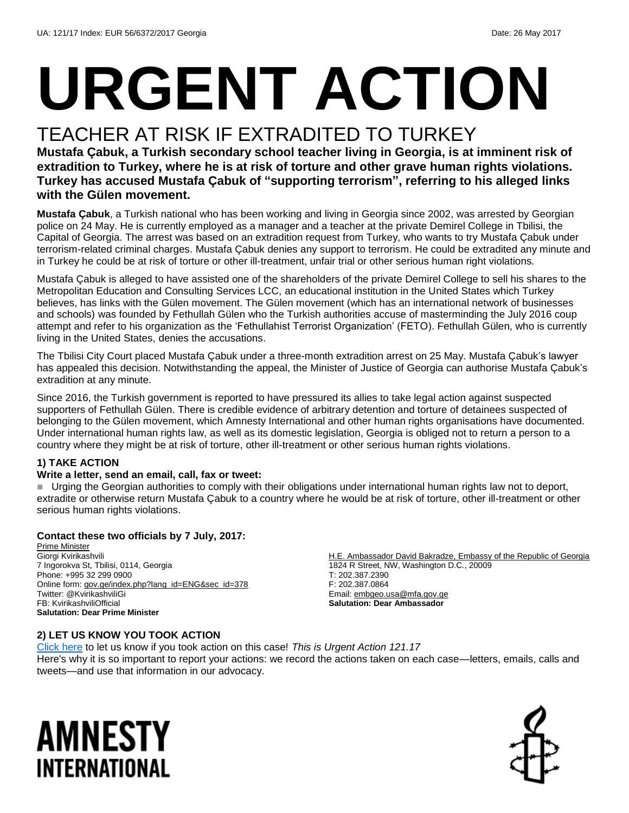# **URGENT ACTION**

### TEACHER AT RISK IF EXTRADITED TO TURKEY

**Mustafa Çabuk, a Turkish secondary school teacher living in Georgia, is at imminent risk of extradition to Turkey, where he is at risk of torture and other grave human rights violations. Turkey has accused Mustafa Çabuk of "supporting terrorism", referring to his alleged links with the Gülen movement.**

**Mustafa Çabuk**, a Turkish national who has been working and living in Georgia since 2002, was arrested by Georgian police on 24 May. He is currently employed as a manager and a teacher at the private Demirel College in Tbilisi, the Capital of Georgia. The arrest was based on an extradition request from Turkey, who wants to try Mustafa Çabuk under terrorism-related criminal charges. Mustafa Çabuk denies any support to terrorism. He could be extradited any minute and in Turkey he could be at risk of torture or other ill-treatment, unfair trial or other serious human right violations.

Mustafa Çabuk is alleged to have assisted one of the shareholders of the private Demirel College to sell his shares to the Metropolitan Education and Consulting Services LCC, an educational institution in the United States which Turkey believes, has links with the Gülen movement. The Gülen movement (which has an international network of businesses and schools) was founded by Fethullah Gülen who the Turkish authorities accuse of masterminding the July 2016 coup attempt and refer to his organization as the 'Fethullahist Terrorist Organization' (FETO). Fethullah Gülen, who is currently living in the United States, denies the accusations.

The Tbilisi City Court placed Mustafa Çabuk under a three-month extradition arrest on 25 May. Mustafa Çabuk's lawyer has appealed this decision. Notwithstanding the appeal, the Minister of Justice of Georgia can authorise Mustafa Çabuk's extradition at any minute.

Since 2016, the Turkish government is reported to have pressured its allies to take legal action against suspected supporters of Fethullah Gülen. There is credible evidence of arbitrary detention and torture of detainees suspected of belonging to the Gülen movement, which Amnesty International and other human rights organisations have documented. Under international human rights law, as well as its domestic legislation, Georgia is obliged not to return a person to a country where they might be at risk of torture, other ill-treatment or other serious human rights violations.

#### **1) TAKE ACTION**

#### **Write a letter, send an email, call, fax or tweet:**

 Urging the Georgian authorities to comply with their obligations under international human rights law not to deport, extradite or otherwise return Mustafa Çabuk to a country where he would be at risk of torture, other ill-treatment or other serious human rights violations.

#### **Contact these two officials by 7 July, 2017:**

Prime Minister Giorgi Kvirikashvili 7 Ingorokva St, Tbilisi, 0114, Georgia Phone: +995 32 299 0900 Online form: [gov.ge/index.php?lang\\_id=ENG&sec\\_id=378](gov.ge/index.php?lang_id=ENG&sec_id=378) Twitter: @KvirikashviliGi FB: KvirikashviliOfficial **Salutation: Dear Prime Minister**

H.E. Ambassador David Bakradze, Embassy of the Republic of Georgia 1824 R Street, NW, Washington D.C., 20009 T: 202.387.2390 F: 202.387.0864 Email[: embgeo.usa@mfa.gov.ge](mailto:embgeo.usa@mfa.gov.ge) **Salutation: Dear Ambassador**

#### **2) LET US KNOW YOU TOOK ACTION**

[Click here](https://docs.google.com/forms/d/e/1FAIpQLSf3RUspces4lA9Gt7Fp9GiAcojCs6fnfFOTCLli3Su6c3S8ew/viewform) to let us know if you took action on this case! *This is Urgent Action 121.17* Here's why it is so important to report your actions: we record the actions taken on each case—letters, emails, calls and tweets—and use that information in our advocacy.

## AMNESTY INTERNATIONAL